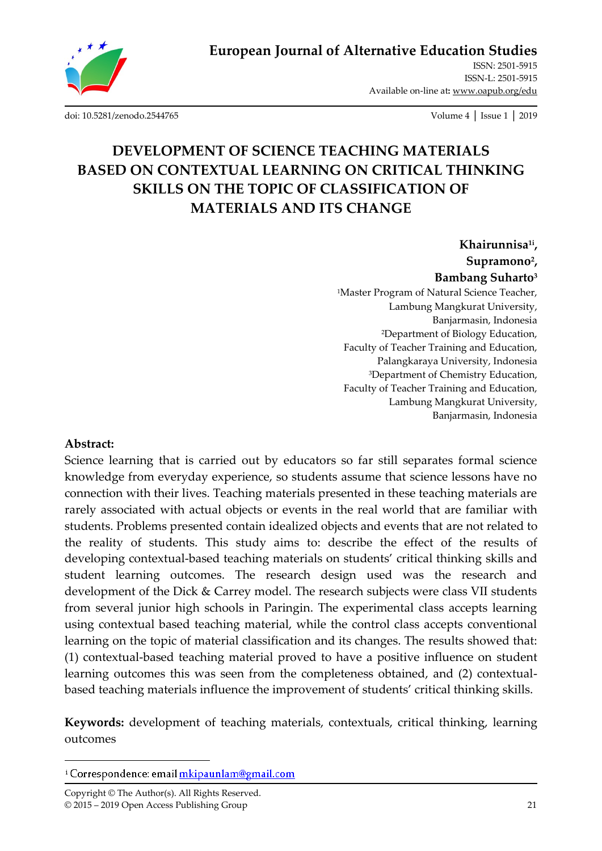

**European Journal of Alternative Education Studies**

ISSN: 2501-5915 ISSN-L: 2501-5915 Available on-line at**:** www.oapub.org/edu

[doi: 10.5281/zenodo.2544765](http://dx.doi.org/10.5281/zenodo.2544765) Volume 4 │ Issue 1 │ 2019

# **DEVELOPMENT OF SCIENCE TEACHING MATERIALS BASED ON CONTEXTUAL LEARNING ON CRITICAL THINKING SKILLS ON THE TOPIC OF CLASSIFICATION OF MATERIALS AND ITS CHANGE**

**Khairunnisa1i , Supramono<sup>2</sup> , Bambang Suharto<sup>3</sup>** <sup>1</sup>Master Program of Natural Science Teacher, Lambung Mangkurat University, Banjarmasin, Indonesia <sup>2</sup>Department of Biology Education, Faculty of Teacher Training and Education, Palangkaraya University, Indonesia <sup>3</sup>Department of Chemistry Education, Faculty of Teacher Training and Education, Lambung Mangkurat University, Banjarmasin, Indonesia

#### **Abstract:**

 $\overline{\phantom{a}}$ 

Science learning that is carried out by educators so far still separates formal science knowledge from everyday experience, so students assume that science lessons have no connection with their lives. Teaching materials presented in these teaching materials are rarely associated with actual objects or events in the real world that are familiar with students. Problems presented contain idealized objects and events that are not related to the reality of students. This study aims to: describe the effect of the results of developing contextual-based teaching materials on students' critical thinking skills and student learning outcomes. The research design used was the research and development of the Dick & Carrey model. The research subjects were class VII students from several junior high schools in Paringin. The experimental class accepts learning using contextual based teaching material, while the control class accepts conventional learning on the topic of material classification and its changes. The results showed that: (1) contextual-based teaching material proved to have a positive influence on student learning outcomes this was seen from the completeness obtained, and (2) contextualbased teaching materials influence the improvement of students' critical thinking skills.

**Keywords:** development of teaching materials, contextuals, critical thinking, learning outcomes

<sup>&</sup>lt;sup>i</sup> Correspondence: email mkipaunlam@gmail.com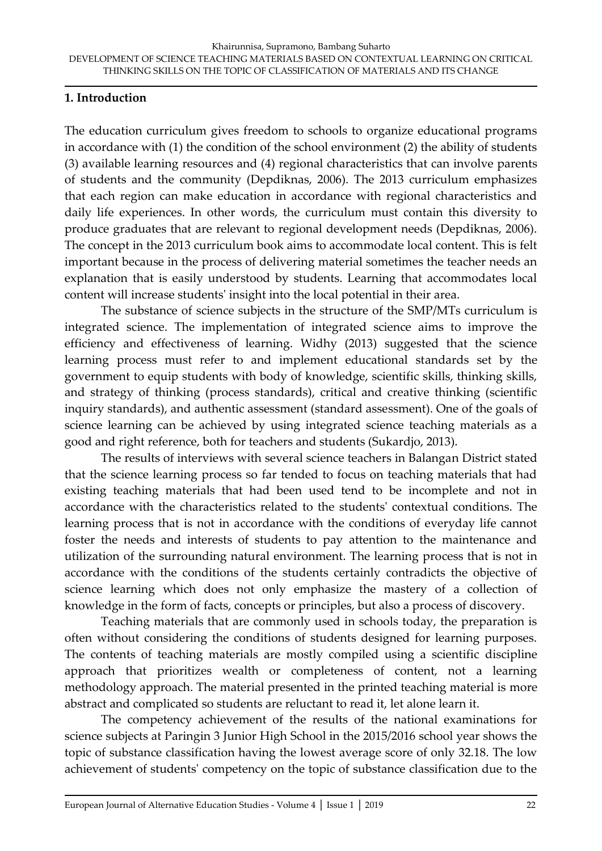## **1. Introduction**

The education curriculum gives freedom to schools to organize educational programs in accordance with (1) the condition of the school environment (2) the ability of students (3) available learning resources and (4) regional characteristics that can involve parents of students and the community (Depdiknas, 2006). The 2013 curriculum emphasizes that each region can make education in accordance with regional characteristics and daily life experiences. In other words, the curriculum must contain this diversity to produce graduates that are relevant to regional development needs (Depdiknas, 2006). The concept in the 2013 curriculum book aims to accommodate local content. This is felt important because in the process of delivering material sometimes the teacher needs an explanation that is easily understood by students. Learning that accommodates local content will increase students' insight into the local potential in their area.

The substance of science subjects in the structure of the SMP/MTs curriculum is integrated science. The implementation of integrated science aims to improve the efficiency and effectiveness of learning. Widhy (2013) suggested that the science learning process must refer to and implement educational standards set by the government to equip students with body of knowledge, scientific skills, thinking skills, and strategy of thinking (process standards), critical and creative thinking (scientific inquiry standards), and authentic assessment (standard assessment). One of the goals of science learning can be achieved by using integrated science teaching materials as a good and right reference, both for teachers and students (Sukardjo, 2013).

The results of interviews with several science teachers in Balangan District stated that the science learning process so far tended to focus on teaching materials that had existing teaching materials that had been used tend to be incomplete and not in accordance with the characteristics related to the students' contextual conditions. The learning process that is not in accordance with the conditions of everyday life cannot foster the needs and interests of students to pay attention to the maintenance and utilization of the surrounding natural environment. The learning process that is not in accordance with the conditions of the students certainly contradicts the objective of science learning which does not only emphasize the mastery of a collection of knowledge in the form of facts, concepts or principles, but also a process of discovery.

Teaching materials that are commonly used in schools today, the preparation is often without considering the conditions of students designed for learning purposes. The contents of teaching materials are mostly compiled using a scientific discipline approach that prioritizes wealth or completeness of content, not a learning methodology approach. The material presented in the printed teaching material is more abstract and complicated so students are reluctant to read it, let alone learn it.

The competency achievement of the results of the national examinations for science subjects at Paringin 3 Junior High School in the 2015/2016 school year shows the topic of substance classification having the lowest average score of only 32.18. The low achievement of students' competency on the topic of substance classification due to the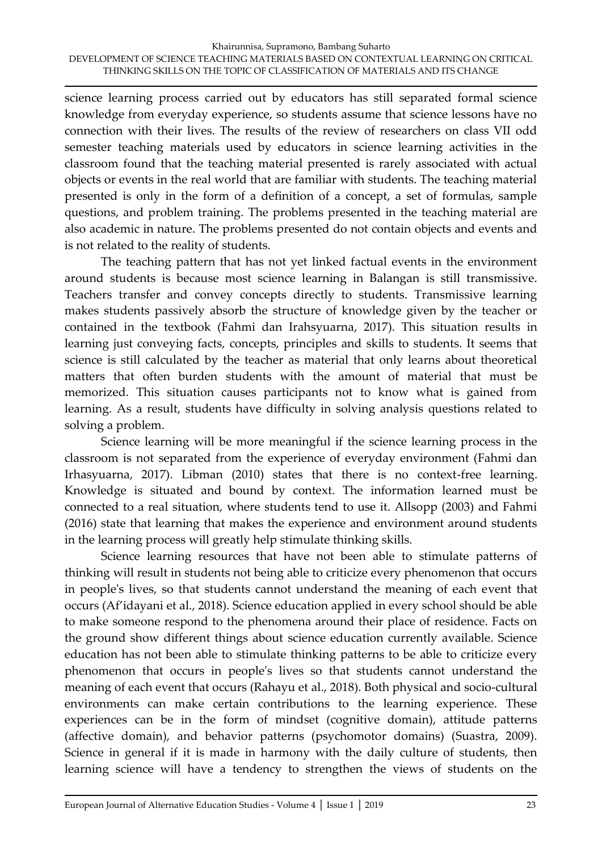science learning process carried out by educators has still separated formal science knowledge from everyday experience, so students assume that science lessons have no connection with their lives. The results of the review of researchers on class VII odd semester teaching materials used by educators in science learning activities in the classroom found that the teaching material presented is rarely associated with actual objects or events in the real world that are familiar with students. The teaching material presented is only in the form of a definition of a concept, a set of formulas, sample questions, and problem training. The problems presented in the teaching material are also academic in nature. The problems presented do not contain objects and events and is not related to the reality of students.

The teaching pattern that has not yet linked factual events in the environment around students is because most science learning in Balangan is still transmissive. Teachers transfer and convey concepts directly to students. Transmissive learning makes students passively absorb the structure of knowledge given by the teacher or contained in the textbook (Fahmi dan Irahsyuarna, 2017). This situation results in learning just conveying facts, concepts, principles and skills to students. It seems that science is still calculated by the teacher as material that only learns about theoretical matters that often burden students with the amount of material that must be memorized. This situation causes participants not to know what is gained from learning. As a result, students have difficulty in solving analysis questions related to solving a problem.

Science learning will be more meaningful if the science learning process in the classroom is not separated from the experience of everyday environment (Fahmi dan Irhasyuarna, 2017). Libman (2010) states that there is no context-free learning. Knowledge is situated and bound by context. The information learned must be connected to a real situation, where students tend to use it. Allsopp (2003) and Fahmi (2016) state that learning that makes the experience and environment around students in the learning process will greatly help stimulate thinking skills.

Science learning resources that have not been able to stimulate patterns of thinking will result in students not being able to criticize every phenomenon that occurs in people's lives, so that students cannot understand the meaning of each event that occurs (Af'idayani et al., 2018). Science education applied in every school should be able to make someone respond to the phenomena around their place of residence. Facts on the ground show different things about science education currently available. Science education has not been able to stimulate thinking patterns to be able to criticize every phenomenon that occurs in people's lives so that students cannot understand the meaning of each event that occurs (Rahayu et al., 2018). Both physical and socio-cultural environments can make certain contributions to the learning experience. These experiences can be in the form of mindset (cognitive domain), attitude patterns (affective domain), and behavior patterns (psychomotor domains) (Suastra, 2009). Science in general if it is made in harmony with the daily culture of students, then learning science will have a tendency to strengthen the views of students on the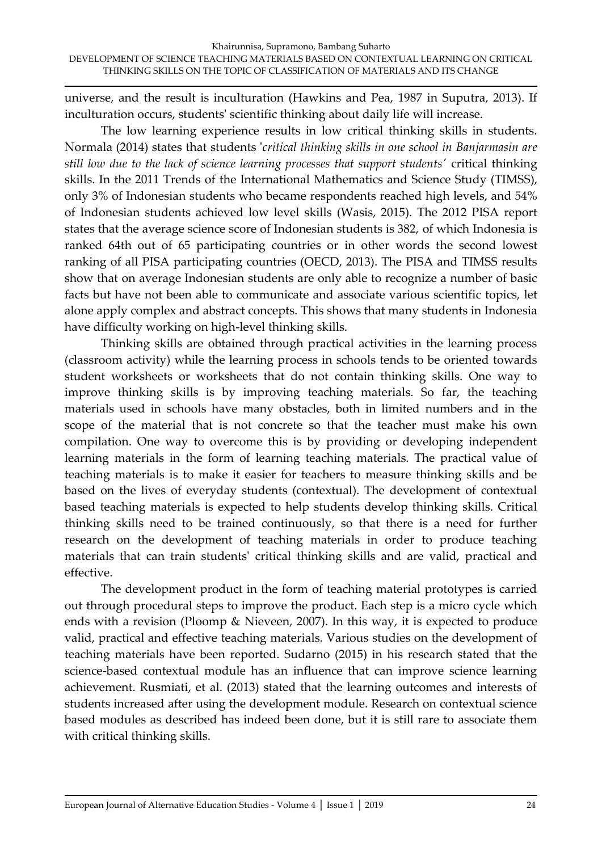universe, and the result is inculturation (Hawkins and Pea, 1987 in Suputra, 2013). If inculturation occurs, students' scientific thinking about daily life will increase.

The low learning experience results in low critical thinking skills in students. Normala (2014) states that students '*critical thinking skills in one school in Banjarmasin are still low due to the lack of science learning processes that support students'* critical thinking skills. In the 2011 Trends of the International Mathematics and Science Study (TIMSS), only 3% of Indonesian students who became respondents reached high levels, and 54% of Indonesian students achieved low level skills (Wasis, 2015). The 2012 PISA report states that the average science score of Indonesian students is 382, of which Indonesia is ranked 64th out of 65 participating countries or in other words the second lowest ranking of all PISA participating countries (OECD, 2013). The PISA and TIMSS results show that on average Indonesian students are only able to recognize a number of basic facts but have not been able to communicate and associate various scientific topics, let alone apply complex and abstract concepts. This shows that many students in Indonesia have difficulty working on high-level thinking skills.

Thinking skills are obtained through practical activities in the learning process (classroom activity) while the learning process in schools tends to be oriented towards student worksheets or worksheets that do not contain thinking skills. One way to improve thinking skills is by improving teaching materials. So far, the teaching materials used in schools have many obstacles, both in limited numbers and in the scope of the material that is not concrete so that the teacher must make his own compilation. One way to overcome this is by providing or developing independent learning materials in the form of learning teaching materials. The practical value of teaching materials is to make it easier for teachers to measure thinking skills and be based on the lives of everyday students (contextual). The development of contextual based teaching materials is expected to help students develop thinking skills. Critical thinking skills need to be trained continuously, so that there is a need for further research on the development of teaching materials in order to produce teaching materials that can train students' critical thinking skills and are valid, practical and effective.

The development product in the form of teaching material prototypes is carried out through procedural steps to improve the product. Each step is a micro cycle which ends with a revision (Ploomp & Nieveen, 2007). In this way, it is expected to produce valid, practical and effective teaching materials. Various studies on the development of teaching materials have been reported. Sudarno (2015) in his research stated that the science-based contextual module has an influence that can improve science learning achievement. Rusmiati, et al. (2013) stated that the learning outcomes and interests of students increased after using the development module. Research on contextual science based modules as described has indeed been done, but it is still rare to associate them with critical thinking skills.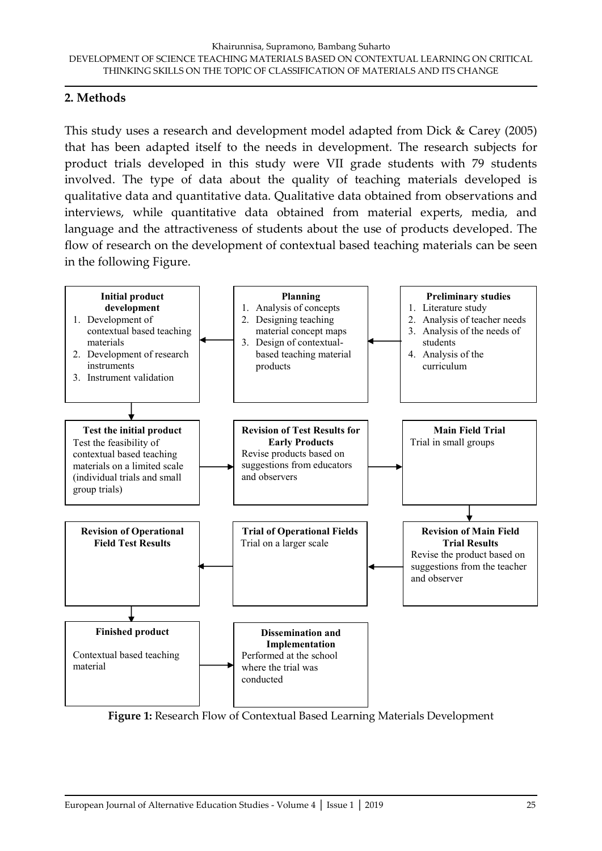# **2. Methods**

This study uses a research and development model adapted from Dick & Carey (2005) that has been adapted itself to the needs in development. The research subjects for product trials developed in this study were VII grade students with 79 students involved. The type of data about the quality of teaching materials developed is qualitative data and quantitative data. Qualitative data obtained from observations and interviews, while quantitative data obtained from material experts, media, and language and the attractiveness of students about the use of products developed. The flow of research on the development of contextual based teaching materials can be seen in the following Figure.



**Figure 1:** Research Flow of Contextual Based Learning Materials Development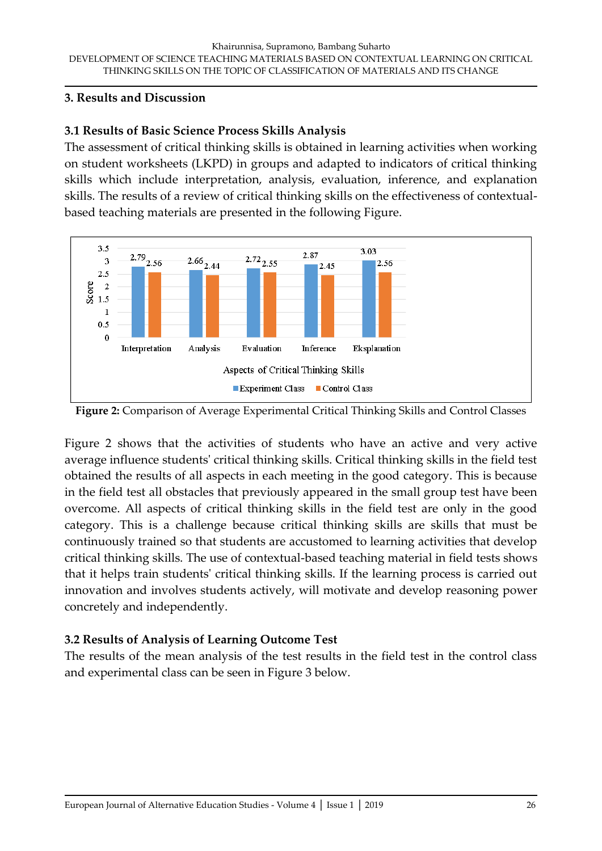#### **3. Results and Discussion**

## **3.1 Results of Basic Science Process Skills Analysis**

The assessment of critical thinking skills is obtained in learning activities when working on student worksheets (LKPD) in groups and adapted to indicators of critical thinking skills which include interpretation, analysis, evaluation, inference, and explanation skills. The results of a review of critical thinking skills on the effectiveness of contextualbased teaching materials are presented in the following Figure.





Figure 2 shows that the activities of students who have an active and very active average influence students' critical thinking skills. Critical thinking skills in the field test obtained the results of all aspects in each meeting in the good category. This is because in the field test all obstacles that previously appeared in the small group test have been overcome. All aspects of critical thinking skills in the field test are only in the good category. This is a challenge because critical thinking skills are skills that must be continuously trained so that students are accustomed to learning activities that develop critical thinking skills. The use of contextual-based teaching material in field tests shows that it helps train students' critical thinking skills. If the learning process is carried out innovation and involves students actively, will motivate and develop reasoning power concretely and independently.

# **3.2 Results of Analysis of Learning Outcome Test**

The results of the mean analysis of the test results in the field test in the control class and experimental class can be seen in Figure 3 below.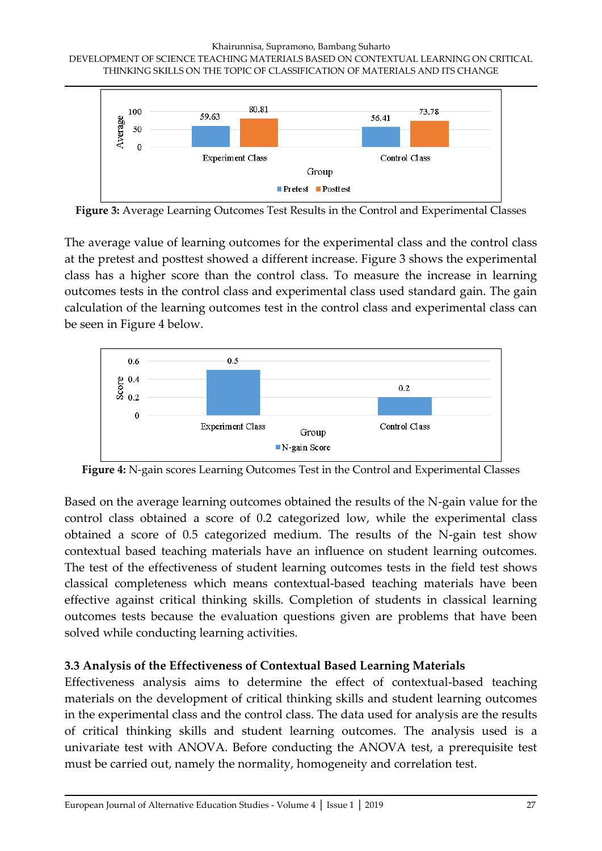Khairunnisa, Supramono, Bambang Suharto DEVELOPMENT OF SCIENCE TEACHING MATERIALS BASED ON CONTEXTUAL LEARNING ON CRITICAL THINKING SKILLS ON THE TOPIC OF CLASSIFICATION OF MATERIALS AND ITS CHANGE



**Figure 3:** Average Learning Outcomes Test Results in the Control and Experimental Classes

The average value of learning outcomes for the experimental class and the control class at the pretest and posttest showed a different increase. Figure 3 shows the experimental class has a higher score than the control class. To measure the increase in learning outcomes tests in the control class and experimental class used standard gain. The gain calculation of the learning outcomes test in the control class and experimental class can be seen in Figure 4 below.



**Figure 4:** N-gain scores Learning Outcomes Test in the Control and Experimental Classes

Based on the average learning outcomes obtained the results of the N-gain value for the control class obtained a score of 0.2 categorized low, while the experimental class obtained a score of 0.5 categorized medium. The results of the N-gain test show contextual based teaching materials have an influence on student learning outcomes. The test of the effectiveness of student learning outcomes tests in the field test shows classical completeness which means contextual-based teaching materials have been effective against critical thinking skills. Completion of students in classical learning outcomes tests because the evaluation questions given are problems that have been solved while conducting learning activities.

# **3.3 Analysis of the Effectiveness of Contextual Based Learning Materials**

Effectiveness analysis aims to determine the effect of contextual-based teaching materials on the development of critical thinking skills and student learning outcomes in the experimental class and the control class. The data used for analysis are the results of critical thinking skills and student learning outcomes. The analysis used is a univariate test with ANOVA. Before conducting the ANOVA test, a prerequisite test must be carried out, namely the normality, homogeneity and correlation test.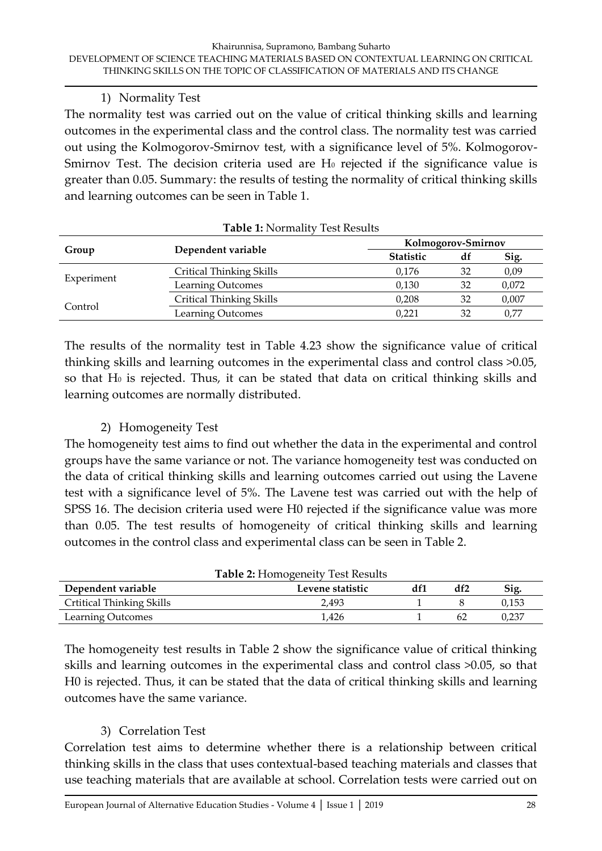#### 1) Normality Test

The normality test was carried out on the value of critical thinking skills and learning outcomes in the experimental class and the control class. The normality test was carried out using the Kolmogorov-Smirnov test, with a significance level of 5%. Kolmogorov-Smirnov Test. The decision criteria used are H<sub>0</sub> rejected if the significance value is greater than 0.05. Summary: the results of testing the normality of critical thinking skills and learning outcomes can be seen in Table 1.

| Group      | Dependent variable              | Kolmogorov-Smirnov |    |       |
|------------|---------------------------------|--------------------|----|-------|
|            |                                 | <b>Statistic</b>   | df | Sig.  |
| Experiment | <b>Critical Thinking Skills</b> | 0,176              | 32 | 0,09  |
|            | <b>Learning Outcomes</b>        | 0,130              | 32 | 0,072 |
| Control    | <b>Critical Thinking Skills</b> | 0,208              | 32 | 0,007 |
|            | Learning Outcomes               | 0,221              | 32 | 0,77  |

#### **Table 1:** Normality Test Results

The results of the normality test in Table 4.23 show the significance value of critical thinking skills and learning outcomes in the experimental class and control class >0.05, so that H<sub>0</sub> is rejected. Thus, it can be stated that data on critical thinking skills and learning outcomes are normally distributed.

### 2) Homogeneity Test

The homogeneity test aims to find out whether the data in the experimental and control groups have the same variance or not. The variance homogeneity test was conducted on the data of critical thinking skills and learning outcomes carried out using the Lavene test with a significance level of 5%. The Lavene test was carried out with the help of SPSS 16. The decision criteria used were H0 rejected if the significance value was more than 0.05. The test results of homogeneity of critical thinking skills and learning outcomes in the control class and experimental class can be seen in Table 2.

| <b>Table 2: Homogeneity Test Results</b> |                  |  |     |       |  |  |  |
|------------------------------------------|------------------|--|-----|-------|--|--|--|
| Dependent variable                       | Levene statistic |  | df2 | Sig.  |  |  |  |
| <b>Crtitical Thinking Skills</b>         | 2,493            |  |     | 0.153 |  |  |  |
| <b>Learning Outcomes</b>                 | 1,426            |  |     | ).237 |  |  |  |

The homogeneity test results in Table 2 show the significance value of critical thinking skills and learning outcomes in the experimental class and control class >0.05, so that H0 is rejected. Thus, it can be stated that the data of critical thinking skills and learning outcomes have the same variance.

### 3) Correlation Test

Correlation test aims to determine whether there is a relationship between critical thinking skills in the class that uses contextual-based teaching materials and classes that use teaching materials that are available at school. Correlation tests were carried out on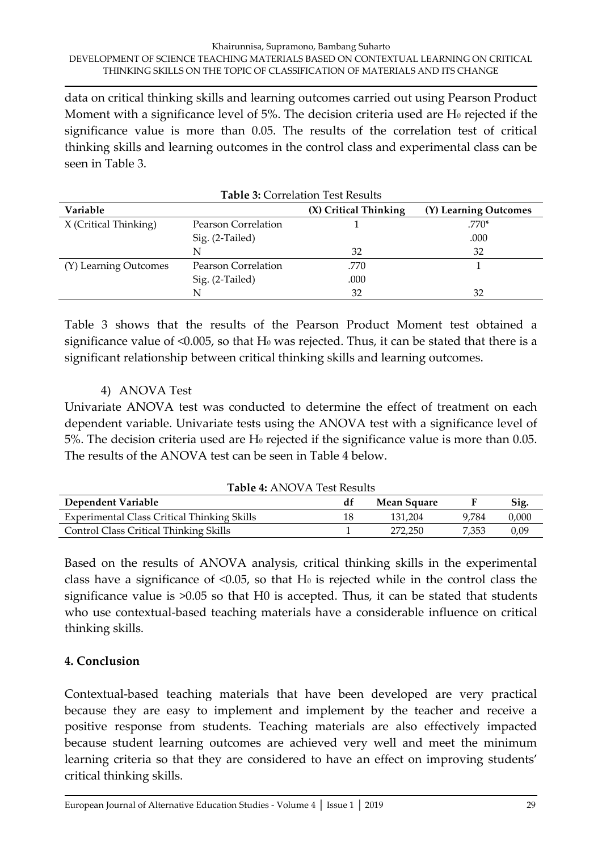data on critical thinking skills and learning outcomes carried out using Pearson Product Moment with a significance level of  $5\%$ . The decision criteria used are H $_0$  rejected if the significance value is more than 0.05. The results of the correlation test of critical thinking skills and learning outcomes in the control class and experimental class can be seen in Table 3.

| <b>Table 3: Correlation Test Results</b> |                     |                       |                       |  |
|------------------------------------------|---------------------|-----------------------|-----------------------|--|
| Variable                                 |                     | (X) Critical Thinking | (Y) Learning Outcomes |  |
| X (Critical Thinking)                    | Pearson Correlation |                       | $.770*$               |  |
|                                          | Sig. (2-Tailed)     |                       | .000                  |  |
|                                          | N                   | 32                    | 32                    |  |
| (Y) Learning Outcomes                    | Pearson Correlation | .770                  |                       |  |
|                                          | Sig. (2-Tailed)     | .000                  |                       |  |
|                                          | N                   | 32                    | 32                    |  |

Table 3 shows that the results of the Pearson Product Moment test obtained a significance value of  $\leq 0.005$ , so that H<sub>0</sub> was rejected. Thus, it can be stated that there is a significant relationship between critical thinking skills and learning outcomes.

## 4) ANOVA Test

Univariate ANOVA test was conducted to determine the effect of treatment on each dependent variable. Univariate tests using the ANOVA test with a significance level of  $5\%$ . The decision criteria used are H<sub>0</sub> rejected if the significance value is more than 0.05. The results of the ANOVA test can be seen in Table 4 below.

| <b>Table 4: ANOVA Test Results</b>                 |    |             |       |       |  |  |
|----------------------------------------------------|----|-------------|-------|-------|--|--|
| Dependent Variable                                 | dt | Mean Square |       | Sig.  |  |  |
| <b>Experimental Class Critical Thinking Skills</b> | 18 | 131.204     | 9.784 | 0,000 |  |  |
| <b>Control Class Critical Thinking Skills</b>      |    | 272.250     | 7.353 | 0.09  |  |  |

Based on the results of ANOVA analysis, critical thinking skills in the experimental class have a significance of  $\leq 0.05$ , so that H<sub>0</sub> is rejected while in the control class the significance value is >0.05 so that H0 is accepted. Thus, it can be stated that students who use contextual-based teaching materials have a considerable influence on critical thinking skills.

### **4. Conclusion**

Contextual-based teaching materials that have been developed are very practical because they are easy to implement and implement by the teacher and receive a positive response from students. Teaching materials are also effectively impacted because student learning outcomes are achieved very well and meet the minimum learning criteria so that they are considered to have an effect on improving students' critical thinking skills.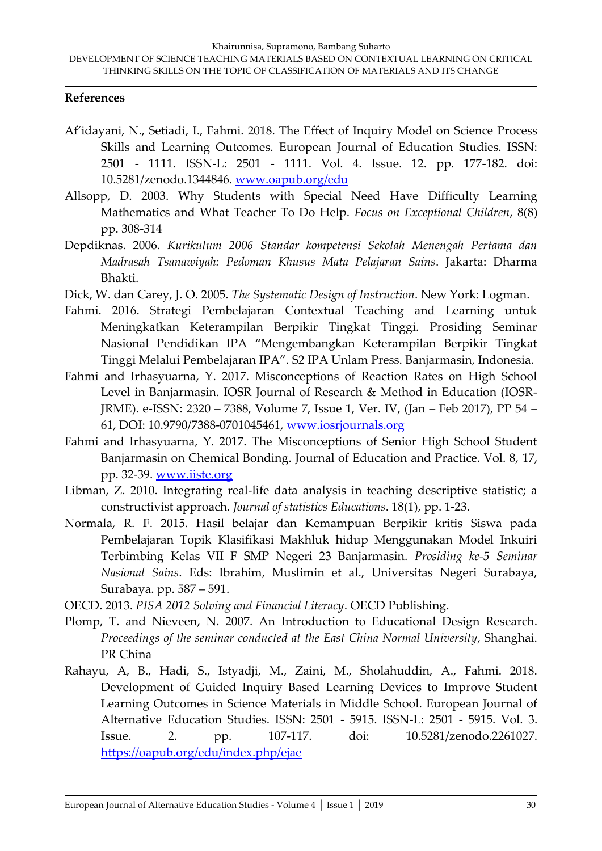#### **References**

- Af'idayani, N., Setiadi, I., Fahmi. 2018. The Effect of Inquiry Model on Science Process Skills and Learning Outcomes. European Journal of Education Studies. ISSN: 2501 - 1111. ISSN-L: 2501 - 1111. Vol. 4. Issue. 12. pp. 177-182. doi: 10.5281/zenodo.1344846. [www.oapub.org/edu](http://www.oapub.org/edu)
- Allsopp, D. 2003. Why Students with Special Need Have Difficulty Learning Mathematics and What Teacher To Do Help. *Focus on Exceptional Children*, 8(8) pp. 308-314
- Depdiknas. 2006. *Kurikulum 2006 Standar kompetensi Sekolah Menengah Pertama dan Madrasah Tsanawiyah: Pedoman Khusus Mata Pelajaran Sains*. Jakarta: Dharma Bhakti.
- Dick, W. dan Carey, J. O. 2005. *The Systematic Design of Instruction*. New York: Logman.
- Fahmi. 2016. Strategi Pembelajaran Contextual Teaching and Learning untuk Meningkatkan Keterampilan Berpikir Tingkat Tinggi. Prosiding Seminar Nasional Pendidikan IPA "Mengembangkan Keterampilan Berpikir Tingkat Tinggi Melalui Pembelajaran IPA". S2 IPA Unlam Press. Banjarmasin, Indonesia.
- Fahmi and Irhasyuarna, Y. 2017. Misconceptions of Reaction Rates on High School Level in Banjarmasin. IOSR Journal of Research & Method in Education (IOSR-JRME). e-ISSN: 2320 – 7388, Volume 7, Issue 1, Ver. IV, (Jan – Feb 2017), PP 54 – 61, DOI: 10.9790/7388-0701045461, [www.iosrjournals.org](http://www.iosrjournals.org/)
- Fahmi and Irhasyuarna, Y. 2017. The Misconceptions of Senior High School Student Banjarmasin on Chemical Bonding. Journal of Education and Practice. Vol. 8, 17, pp. 32-39. [www.iiste.org](http://www.iiste.org/)
- Libman, Z. 2010. Integrating real-life data analysis in teaching descriptive statistic; a constructivist approach. *Journal of statistics Educations*. 18(1), pp. 1-23.
- Normala, R. F. 2015. Hasil belajar dan Kemampuan Berpikir kritis Siswa pada Pembelajaran Topik Klasifikasi Makhluk hidup Menggunakan Model Inkuiri Terbimbing Kelas VII F SMP Negeri 23 Banjarmasin. *Prosiding ke-5 Seminar Nasional Sains*. Eds: Ibrahim, Muslimin et al., Universitas Negeri Surabaya, Surabaya. pp. 587 – 591.

OECD. 2013. *PISA 2012 Solving and Financial Literacy*. OECD Publishing.

- Plomp, T. and Nieveen, N. 2007. An Introduction to Educational Design Research. *Proceedings of the seminar conducted at the East China Normal University*, Shanghai. PR China
- Rahayu, A, B., Hadi, S., Istyadji, M., Zaini, M., Sholahuddin, A., Fahmi. 2018. Development of Guided Inquiry Based Learning Devices to Improve Student Learning Outcomes in Science Materials in Middle School. European Journal of Alternative Education Studies. ISSN: 2501 - 5915. ISSN-L: 2501 - 5915. Vol. 3. Issue. 2. pp. 107-117. doi: 10.5281/zenodo.2261027. <https://oapub.org/edu/index.php/ejae>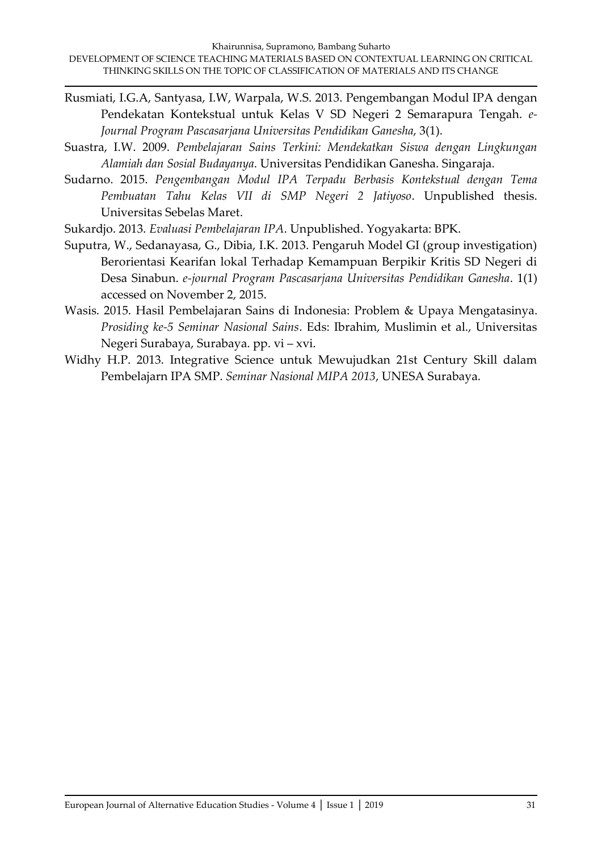- Rusmiati, I.G.A, Santyasa, I.W, Warpala, W.S. 2013. Pengembangan Modul IPA dengan Pendekatan Kontekstual untuk Kelas V SD Negeri 2 Semarapura Tengah. *e-Journal Program Pascasarjana Universitas Pendidikan Ganesha*, 3(1).
- Suastra, I.W. 2009. *Pembelajaran Sains Terkini: Mendekatkan Siswa dengan Lingkungan Alamiah dan Sosial Budayanya*. Universitas Pendidikan Ganesha. Singaraja.
- Sudarno. 2015. *Pengembangan Modul IPA Terpadu Berbasis Kontekstual dengan Tema Pembuatan Tahu Kelas VII di SMP Negeri 2 Jatiyoso*. Unpublished thesis. Universitas Sebelas Maret.
- Sukardjo. 2013. *Evaluasi Pembelajaran IPA*. Unpublished. Yogyakarta: BPK.
- Suputra, W., Sedanayasa, G., Dibia, I.K. 2013. Pengaruh Model GI (group investigation) Berorientasi Kearifan lokal Terhadap Kemampuan Berpikir Kritis SD Negeri di Desa Sinabun. *e-journal Program Pascasarjana Universitas Pendidikan Ganesha*. 1(1) accessed on November 2, 2015.
- Wasis. 2015. Hasil Pembelajaran Sains di Indonesia: Problem & Upaya Mengatasinya. *Prosiding ke-5 Seminar Nasional Sains*. Eds: Ibrahim, Muslimin et al., Universitas Negeri Surabaya, Surabaya. pp. vi – xvi.
- Widhy H.P. 2013. Integrative Science untuk Mewujudkan 21st Century Skill dalam Pembelajarn IPA SMP. *Seminar Nasional MIPA 2013*, UNESA Surabaya.